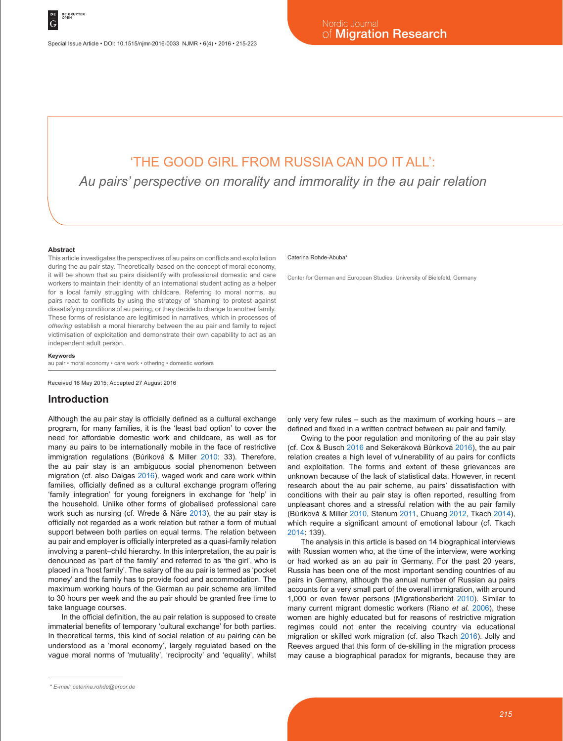# 'THE GOOD GIRL FROM RUSSIA CAN DO IT ALL':

*Au pairs' perspective on morality and immorality in the au pair relation*

#### **Abstract**

This article investigates the perspectives of au pairs on conflicts and exploitation during the au pair stay. Theoretically based on the concept of moral economy, it will be shown that au pairs disidentify with professional domestic and care workers to maintain their identity of an international student acting as a helper for a local family struggling with childcare. Referring to moral norms, au pairs react to conflicts by using the strategy of 'shaming' to protest against dissatisfying conditions of au pairing, or they decide to change to another family. These forms of resistance are legitimised in narratives, which in processes of *othering* establish a moral hierarchy between the au pair and family to reject victimisation of exploitation and demonstrate their own capability to act as an independent adult person.

#### **Keywords**

au pair • moral economy • care work • othering • domestic workers

Received 16 May 2015; Accepted 27 August 2016

#### **Introduction**

Although the au pair stay is officially defined as a cultural exchange program, for many families, it is the 'least bad option' to cover the need for affordable domestic work and childcare, as well as for many au pairs to be internationally mobile in the face of restrictive immigration regulations (Búriková & Miller 2010: 33). Therefore, the au pair stay is an ambiguous social phenomenon between migration (cf. also Dalgas 2016), waged work and care work within families, officially defined as a cultural exchange program offering 'family integration' for young foreigners in exchange for 'help' in the household. Unlike other forms of globalised professional care work such as nursing (cf. Wrede & Näre 2013), the au pair stay is officially not regarded as a work relation but rather a form of mutual support between both parties on equal terms. The relation between au pair and employer is officially interpreted as a quasi-family relation involving a parent–child hierarchy. In this interpretation, the au pair is denounced as 'part of the family' and referred to as 'the girl', who is placed in a 'host family'. The salary of the au pair is termed as 'pocket money' and the family has to provide food and accommodation. The maximum working hours of the German au pair scheme are limited to 30 hours per week and the au pair should be granted free time to take language courses.

In the official definition, the au pair relation is supposed to create immaterial benefits of temporary 'cultural exchange' for both parties. In theoretical terms, this kind of social relation of au pairing can be understood as a 'moral economy', largely regulated based on the vague moral norms of 'mutuality', 'reciprocity' and 'equality', whilst

#### Caterina Rohde-Abuba<sup>\*</sup>

Center for German and European Studies, University of Bielefeld, Germany

only very few rules – such as the maximum of working hours – are defined and fixed in a written contract between au pair and family.

Owing to the poor regulation and monitoring of the au pair stay (cf. Cox & Busch 2016 and Sekeráková Búriková 2016), the au pair relation creates a high level of vulnerability of au pairs for conflicts and exploitation. The forms and extent of these grievances are unknown because of the lack of statistical data. However, in recent research about the au pair scheme, au pairs' dissatisfaction with conditions with their au pair stay is often reported, resulting from unpleasant chores and a stressful relation with the au pair family (Búriková & Miller 2010, Stenum 2011, Chuang 2012, Tkach 2014), which require a significant amount of emotional labour (cf. Tkach 2014: 139).

The analysis in this article is based on 14 biographical interviews with Russian women who, at the time of the interview, were working or had worked as an au pair in Germany. For the past 20 years, Russia has been one of the most important sending countries of au pairs in Germany, although the annual number of Russian au pairs accounts for a very small part of the overall immigration, with around 1,000 or even fewer persons (Migrationsbericht 2010). Similar to many current migrant domestic workers (Riano *et al.* 2006), these women are highly educated but for reasons of restrictive migration regimes could not enter the receiving country via educational migration or skilled work migration (cf. also Tkach 2016). Jolly and Reeves argued that this form of de-skilling in the migration process may cause a biographical paradox for migrants, because they are

*<sup>\*</sup> E-mail: caterina.rohde@arcor.de*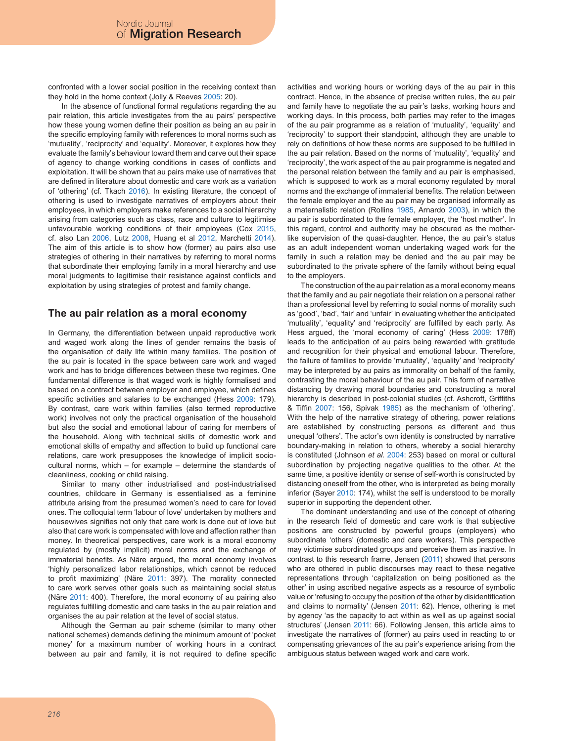confronted with a lower social position in the receiving context than they hold in the home context (Jolly & Reeves 2005: 20).

In the absence of functional formal regulations regarding the au pair relation, this article investigates from the au pairs' perspective how these young women define their position as being an au pair in the specific employing family with references to moral norms such as 'mutuality', 'reciprocity' and 'equality'. Moreover, it explores how they evaluate the family's behaviour toward them and carve out their space of agency to change working conditions in cases of conflicts and exploitation. It will be shown that au pairs make use of narratives that are defined in literature about domestic and care work as a variation of 'othering' (cf. Tkach 2016). In existing literature, the concept of othering is used to investigate narratives of employers about their employees, in which employers make references to a social hierarchy arising from categories such as class, race and culture to legitimise unfavourable working conditions of their employees (Cox 2015, cf. also Lan 2006, Lutz 2008, Huang et al 2012, Marchetti 2014). The aim of this article is to show how (former) au pairs also use strategies of othering in their narratives by referring to moral norms that subordinate their employing family in a moral hierarchy and use moral judgments to legitimise their resistance against conflicts and exploitation by using strategies of protest and family change.

#### **The au pair relation as a moral economy**

In Germany, the differentiation between unpaid reproductive work and waged work along the lines of gender remains the basis of the organisation of daily life within many families. The position of the au pair is located in the space between care work and waged work and has to bridge differences between these two regimes. One fundamental difference is that waged work is highly formalised and based on a contract between employer and employee, which defines specific activities and salaries to be exchanged (Hess 2009: 179). By contrast, care work within families (also termed reproductive work) involves not only the practical organisation of the household but also the social and emotional labour of caring for members of the household. Along with technical skills of domestic work and emotional skills of empathy and affection to build up functional care relations, care work presupposes the knowledge of implicit sociocultural norms, which – for example – determine the standards of cleanliness, cooking or child raising.

Similar to many other industrialised and post-industrialised countries, childcare in Germany is essentialised as a feminine attribute arising from the presumed women's need to care for loved ones. The colloquial term 'labour of love' undertaken by mothers and housewives signifies not only that care work is done out of love but also that care work is compensated with love and affection rather than money. In theoretical perspectives, care work is a moral economy regulated by (mostly implicit) moral norms and the exchange of immaterial benefits. As Näre argued, the moral economy involves 'highly personalized labor relationships, which cannot be reduced to profit maximizing' (Näre 2011: 397). The morality connected to care work serves other goals such as maintaining social status (Näre 2011: 400). Therefore, the moral economy of au pairing also regulates fulfilling domestic and care tasks in the au pair relation and organises the au pair relation at the level of social status.

Although the German au pair scheme (similar to many other national schemes) demands defining the minimum amount of 'pocket money' for a maximum number of working hours in a contract between au pair and family, it is not required to define specific activities and working hours or working days of the au pair in this contract. Hence, in the absence of precise written rules, the au pair and family have to negotiate the au pair's tasks, working hours and working days. In this process, both parties may refer to the images of the au pair programme as a relation of 'mutuality', 'equality' and 'reciprocity' to support their standpoint, although they are unable to rely on definitions of how these norms are supposed to be fulfilled in the au pair relation. Based on the norms of 'mutuality', 'equality' and 'reciprocity', the work aspect of the au pair programme is negated and the personal relation between the family and au pair is emphasised, which is supposed to work as a moral economy regulated by moral norms and the exchange of immaterial benefits. The relation between the female employer and the au pair may be organised informally as a maternalistic relation (Rollins 1985, Arnardo 2003), in which the au pair is subordinated to the female employer, the 'host mother'. In this regard, control and authority may be obscured as the motherlike supervision of the quasi-daughter. Hence, the au pair's status as an adult independent woman undertaking waged work for the family in such a relation may be denied and the au pair may be subordinated to the private sphere of the family without being equal to the employers.

The construction of the au pair relation as a moral economy means that the family and au pair negotiate their relation on a personal rather than a professional level by referring to social norms of morality such as 'good', 'bad', 'fair' and 'unfair' in evaluating whether the anticipated 'mutuality', 'equality' and 'reciprocity' are fulfilled by each party. As Hess argued, the 'moral economy of caring' (Hess 2009: 178ff) leads to the anticipation of au pairs being rewarded with gratitude and recognition for their physical and emotional labour. Therefore, the failure of families to provide 'mutuality', 'equality' and 'reciprocity' may be interpreted by au pairs as immorality on behalf of the family, contrasting the moral behaviour of the au pair. This form of narrative distancing by drawing moral boundaries and constructing a moral hierarchy is described in post-colonial studies (cf. Ashcroft, Griffiths & Tiffin 2007: 156, Spivak 1985) as the mechanism of 'othering'. With the help of the narrative strategy of othering, power relations are established by constructing persons as different and thus unequal 'others'. The actor's own identity is constructed by narrative boundary-making in relation to others, whereby a social hierarchy is constituted (Johnson *et al.* 2004: 253) based on moral or cultural subordination by projecting negative qualities to the other. At the same time, a positive identity or sense of self-worth is constructed by distancing oneself from the other, who is interpreted as being morally inferior (Sayer 2010: 174), whilst the self is understood to be morally superior in supporting the dependent other.

The dominant understanding and use of the concept of othering in the research field of domestic and care work is that subjective positions are constructed by powerful groups (employers) who subordinate 'others' (domestic and care workers). This perspective may victimise subordinated groups and perceive them as inactive. In contrast to this research frame, Jensen (2011) showed that persons who are othered in public discourses may react to these negative representations through 'capitalization on being positioned as the other' in using ascribed negative aspects as a resource of symbolic value or 'refusing to occupy the position of the other by disidentification and claims to normality' (Jensen 2011: 62). Hence, othering is met by agency 'as the capacity to act within as well as up against social structures' (Jensen 2011: 66). Following Jensen, this article aims to investigate the narratives of (former) au pairs used in reacting to or compensating grievances of the au pair's experience arising from the ambiguous status between waged work and care work.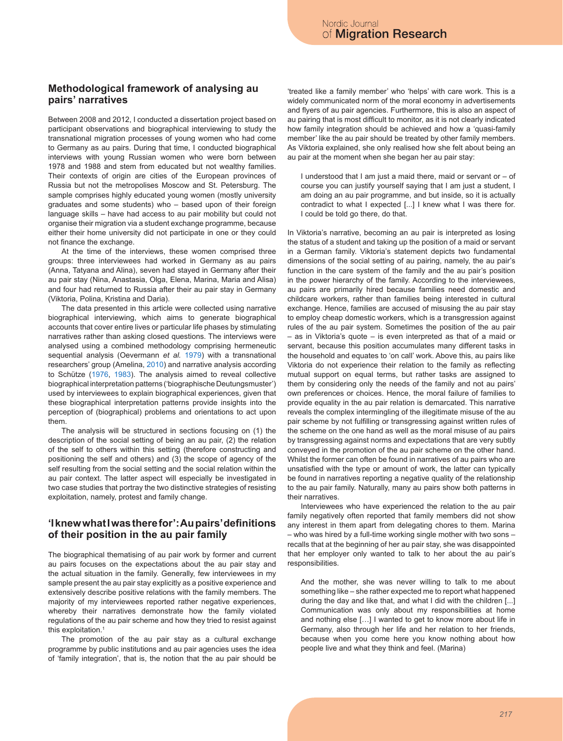## **Methodological framework of analysing au pairs' narratives**

Between 2008 and 2012, I conducted a dissertation project based on participant observations and biographical interviewing to study the transnational migration processes of young women who had come to Germany as au pairs. During that time, I conducted biographical interviews with young Russian women who were born between 1978 and 1988 and stem from educated but not wealthy families. Their contexts of origin are cities of the European provinces of Russia but not the metropolises Moscow and St. Petersburg. The sample comprises highly educated young women (mostly university graduates and some students) who – based upon of their foreign language skills – have had access to au pair mobility but could not organise their migration via a student exchange programme, because either their home university did not participate in one or they could not finance the exchange.

At the time of the interviews, these women comprised three groups: three interviewees had worked in Germany as au pairs (Anna, Tatyana and Alina), seven had stayed in Germany after their au pair stay (Nina, Anastasia, Olga, Elena, Marina, Maria and Alisa) and four had returned to Russia after their au pair stay in Germany (Viktoria, Polina, Kristina and Daria).

The data presented in this article were collected using narrative biographical interviewing, which aims to generate biographical accounts that cover entire lives or particular life phases by stimulating narratives rather than asking closed questions. The interviews were analysed using a combined methodology comprising hermeneutic sequential analysis (Oevermann *et al.* 1979) with a transnational researchers' group (Amelina, 2010) and narrative analysis according to Schütze (1976, 1983). The analysis aimed to reveal collective biographical interpretation patterns ('biographische Deutungsmuster') used by interviewees to explain biographical experiences, given that these biographical interpretation patterns provide insights into the perception of (biographical) problems and orientations to act upon them.

The analysis will be structured in sections focusing on (1) the description of the social setting of being an au pair, (2) the relation of the self to others within this setting (therefore constructing and positioning the self and others) and (3) the scope of agency of the self resulting from the social setting and the social relation within the au pair context. The latter aspect will especially be investigated in two case studies that portray the two distinctive strategies of resisting exploitation, namely, protest and family change.

## **'I knew what I was there for': Au pairs' definitions of their position in the au pair family**

The biographical thematising of au pair work by former and current au pairs focuses on the expectations about the au pair stay and the actual situation in the family. Generally, few interviewees in my sample present the au pair stay explicitly as a positive experience and extensively describe positive relations with the family members. The majority of my interviewees reported rather negative experiences, whereby their narratives demonstrate how the family violated regulations of the au pair scheme and how they tried to resist against this exploitation.<sup>1</sup>

The promotion of the au pair stay as a cultural exchange programme by public institutions and au pair agencies uses the idea of 'family integration', that is, the notion that the au pair should be 'treated like a family member' who 'helps' with care work. This is a widely communicated norm of the moral economy in advertisements and flyers of au pair agencies. Furthermore, this is also an aspect of au pairing that is most difficult to monitor, as it is not clearly indicated how family integration should be achieved and how a 'quasi-family member' like the au pair should be treated by other family members. As Viktoria explained, she only realised how she felt about being an au pair at the moment when she began her au pair stay:

I understood that I am just a maid there, maid or servant or – of course you can justify yourself saying that I am just a student, I am doing an au pair programme, and but inside, so it is actually contradict to what I expected [...] I knew what I was there for. I could be told go there, do that.

In Viktoria's narrative, becoming an au pair is interpreted as losing the status of a student and taking up the position of a maid or servant in a German family. Viktoria's statement depicts two fundamental dimensions of the social setting of au pairing, namely, the au pair's function in the care system of the family and the au pair's position in the power hierarchy of the family. According to the interviewees, au pairs are primarily hired because families need domestic and childcare workers, rather than families being interested in cultural exchange. Hence, families are accused of misusing the au pair stay to employ cheap domestic workers, which is a transgression against rules of the au pair system. Sometimes the position of the au pair – as in Viktoria's quote – is even interpreted as that of a maid or servant, because this position accumulates many different tasks in the household and equates to 'on call' work. Above this, au pairs like Viktoria do not experience their relation to the family as reflecting mutual support on equal terms, but rather tasks are assigned to them by considering only the needs of the family and not au pairs' own preferences or choices. Hence, the moral failure of families to provide equality in the au pair relation is demarcated. This narrative reveals the complex intermingling of the illegitimate misuse of the au pair scheme by not fulfilling or transgressing against written rules of the scheme on the one hand as well as the moral misuse of au pairs by transgressing against norms and expectations that are very subtly conveyed in the promotion of the au pair scheme on the other hand. Whilst the former can often be found in narratives of au pairs who are unsatisfied with the type or amount of work, the latter can typically be found in narratives reporting a negative quality of the relationship to the au pair family. Naturally, many au pairs show both patterns in their narratives.

Interviewees who have experienced the relation to the au pair family negatively often reported that family members did not show any interest in them apart from delegating chores to them. Marina – who was hired by a full-time working single mother with two sons – recalls that at the beginning of her au pair stay, she was disappointed that her employer only wanted to talk to her about the au pair's responsibilities.

And the mother, she was never willing to talk to me about something like – she rather expected me to report what happened during the day and like that, and what I did with the children [...] Communication was only about my responsibilities at home and nothing else […] I wanted to get to know more about life in Germany, also through her life and her relation to her friends, because when you come here you know nothing about how people live and what they think and feel. (Marina)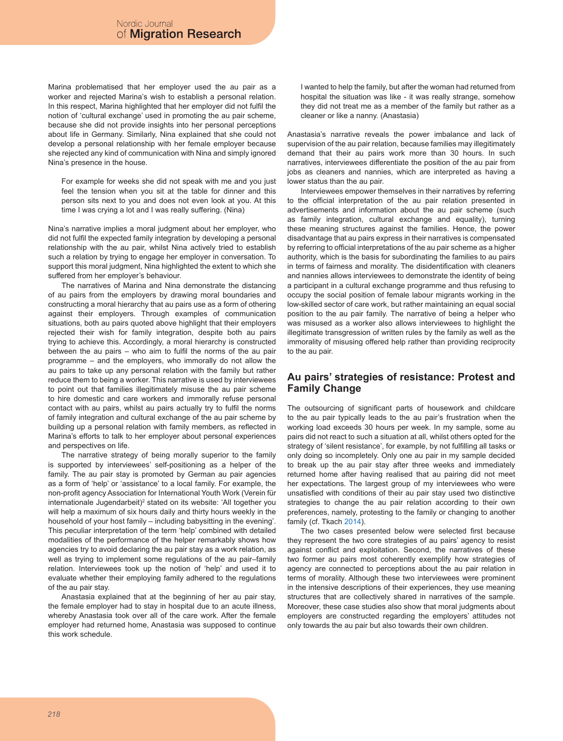Marina problematised that her employer used the au pair as a worker and rejected Marina's wish to establish a personal relation. In this respect, Marina highlighted that her employer did not fulfil the notion of 'cultural exchange' used in promoting the au pair scheme, because she did not provide insights into her personal perceptions about life in Germany. Similarly, Nina explained that she could not develop a personal relationship with her female employer because she rejected any kind of communication with Nina and simply ignored Nina's presence in the house.

For example for weeks she did not speak with me and you just feel the tension when you sit at the table for dinner and this person sits next to you and does not even look at you. At this time I was crying a lot and I was really suffering. (Nina)

Nina's narrative implies a moral judgment about her employer, who did not fulfil the expected family integration by developing a personal relationship with the au pair, whilst Nina actively tried to establish such a relation by trying to engage her employer in conversation. To support this moral judgment, Nina highlighted the extent to which she suffered from her employer's behaviour.

The narratives of Marina and Nina demonstrate the distancing of au pairs from the employers by drawing moral boundaries and constructing a moral hierarchy that au pairs use as a form of othering against their employers. Through examples of communication situations, both au pairs quoted above highlight that their employers rejected their wish for family integration, despite both au pairs trying to achieve this. Accordingly, a moral hierarchy is constructed between the au pairs – who aim to fulfil the norms of the au pair programme – and the employers, who immorally do not allow the au pairs to take up any personal relation with the family but rather reduce them to being a worker. This narrative is used by interviewees to point out that families illegitimately misuse the au pair scheme to hire domestic and care workers and immorally refuse personal contact with au pairs, whilst au pairs actually try to fulfil the norms of family integration and cultural exchange of the au pair scheme by building up a personal relation with family members, as reflected in Marina's efforts to talk to her employer about personal experiences and perspectives on life.

The narrative strategy of being morally superior to the family is supported by interviewees' self-positioning as a helper of the family. The au pair stay is promoted by German au pair agencies as a form of 'help' or 'assistance' to a local family. For example, the non-profit agency Association for International Youth Work (Verein für internationale Jugendarbeit)<sup>2</sup> stated on its website: 'All together you will help a maximum of six hours daily and thirty hours weekly in the household of your host family – including babysitting in the evening'. This peculiar interpretation of the term 'help' combined with detailed modalities of the performance of the helper remarkably shows how agencies try to avoid declaring the au pair stay as a work relation, as well as trying to implement some regulations of the au pair–family relation. Interviewees took up the notion of 'help' and used it to evaluate whether their employing family adhered to the regulations of the au pair stay.

Anastasia explained that at the beginning of her au pair stay, the female employer had to stay in hospital due to an acute illness, whereby Anastasia took over all of the care work. After the female employer had returned home, Anastasia was supposed to continue this work schedule.

I wanted to help the family, but after the woman had returned from hospital the situation was like - it was really strange, somehow they did not treat me as a member of the family but rather as a cleaner or like a nanny. (Anastasia)

Anastasia's narrative reveals the power imbalance and lack of supervision of the au pair relation, because families may illegitimately demand that their au pairs work more than 30 hours. In such narratives, interviewees differentiate the position of the au pair from jobs as cleaners and nannies, which are interpreted as having a lower status than the au pair.

Interviewees empower themselves in their narratives by referring to the official interpretation of the au pair relation presented in advertisements and information about the au pair scheme (such as family integration, cultural exchange and equality), turning these meaning structures against the families. Hence, the power disadvantage that au pairs express in their narratives is compensated by referring to official interpretations of the au pair scheme as a higher authority, which is the basis for subordinating the families to au pairs in terms of fairness and morality. The disidentification with cleaners and nannies allows interviewees to demonstrate the identity of being a participant in a cultural exchange programme and thus refusing to occupy the social position of female labour migrants working in the low-skilled sector of care work, but rather maintaining an equal social position to the au pair family. The narrative of being a helper who was misused as a worker also allows interviewees to highlight the illegitimate transgression of written rules by the family as well as the immorality of misusing offered help rather than providing reciprocity to the au pair.

# **Au pairs' strategies of resistance: Protest and Family Change**

The outsourcing of significant parts of housework and childcare to the au pair typically leads to the au pair's frustration when the working load exceeds 30 hours per week. In my sample, some au pairs did not react to such a situation at all, whilst others opted for the strategy of 'silent resistance', for example, by not fulfilling all tasks or only doing so incompletely. Only one au pair in my sample decided to break up the au pair stay after three weeks and immediately returned home after having realised that au pairing did not meet her expectations. The largest group of my interviewees who were unsatisfied with conditions of their au pair stay used two distinctive strategies to change the au pair relation according to their own preferences, namely, protesting to the family or changing to another family (cf. Tkach 2014).

The two cases presented below were selected first because they represent the two core strategies of au pairs' agency to resist against conflict and exploitation. Second, the narratives of these two former au pairs most coherently exemplify how strategies of agency are connected to perceptions about the au pair relation in terms of morality. Although these two interviewees were prominent in the intensive descriptions of their experiences, they use meaning structures that are collectively shared in narratives of the sample. Moreover, these case studies also show that moral judgments about employers are constructed regarding the employers' attitudes not only towards the au pair but also towards their own children.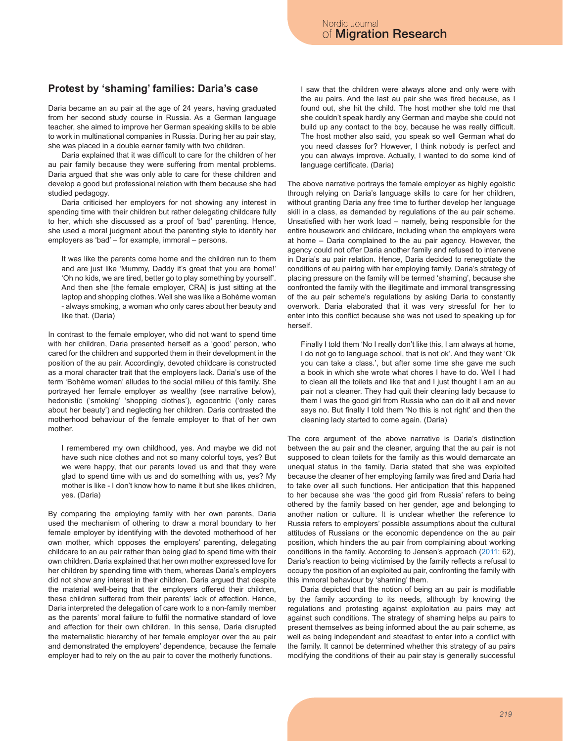## **Protest by 'shaming' families: Daria's case**

Daria became an au pair at the age of 24 years, having graduated from her second study course in Russia. As a German language teacher, she aimed to improve her German speaking skills to be able to work in multinational companies in Russia. During her au pair stay, she was placed in a double earner family with two children.

Daria explained that it was difficult to care for the children of her au pair family because they were suffering from mental problems. Daria argued that she was only able to care for these children and develop a good but professional relation with them because she had studied pedagogy.

Daria criticised her employers for not showing any interest in spending time with their children but rather delegating childcare fully to her, which she discussed as a proof of 'bad' parenting. Hence, she used a moral judgment about the parenting style to identify her employers as 'bad' – for example, immoral – persons.

It was like the parents come home and the children run to them and are just like 'Mummy, Daddy it's great that you are home!' 'Oh no kids, we are tired, better go to play something by yourself'. And then she [the female employer, CRA] is just sitting at the laptop and shopping clothes. Well she was like a Bohème woman - always smoking, a woman who only cares about her beauty and like that. (Daria)

In contrast to the female employer, who did not want to spend time with her children, Daria presented herself as a 'good' person, who cared for the children and supported them in their development in the position of the au pair. Accordingly, devoted childcare is constructed as a moral character trait that the employers lack. Daria's use of the term 'Bohème woman' alludes to the social milieu of this family. She portrayed her female employer as wealthy (see narrative below), hedonistic ('smoking' 'shopping clothes'), egocentric ('only cares about her beauty') and neglecting her children. Daria contrasted the motherhood behaviour of the female employer to that of her own mother.

I remembered my own childhood, yes. And maybe we did not have such nice clothes and not so many colorful toys, yes? But we were happy, that our parents loved us and that they were glad to spend time with us and do something with us, yes? My mother is like - I don't know how to name it but she likes children, yes. (Daria)

By comparing the employing family with her own parents, Daria used the mechanism of othering to draw a moral boundary to her female employer by identifying with the devoted motherhood of her own mother, which opposes the employers' parenting, delegating childcare to an au pair rather than being glad to spend time with their own children. Daria explained that her own mother expressed love for her children by spending time with them, whereas Daria's employers did not show any interest in their children. Daria argued that despite the material well-being that the employers offered their children, these children suffered from their parents' lack of affection. Hence, Daria interpreted the delegation of care work to a non-family member as the parents' moral failure to fulfil the normative standard of love and affection for their own children. In this sense, Daria disrupted the maternalistic hierarchy of her female employer over the au pair and demonstrated the employers' dependence, because the female employer had to rely on the au pair to cover the motherly functions.

I saw that the children were always alone and only were with the au pairs. And the last au pair she was fired because, as I found out, she hit the child. The host mother she told me that she couldn't speak hardly any German and maybe she could not build up any contact to the boy, because he was really difficult. The host mother also said, you speak so well German what do you need classes for? However, I think nobody is perfect and you can always improve. Actually, I wanted to do some kind of language certificate. (Daria)

The above narrative portrays the female employer as highly egoistic through relying on Daria's language skills to care for her children, without granting Daria any free time to further develop her language skill in a class, as demanded by regulations of the au pair scheme. Unsatisfied with her work load – namely, being responsible for the entire housework and childcare, including when the employers were at home – Daria complained to the au pair agency. However, the agency could not offer Daria another family and refused to intervene in Daria's au pair relation. Hence, Daria decided to renegotiate the conditions of au pairing with her employing family. Daria's strategy of placing pressure on the family will be termed 'shaming', because she confronted the family with the illegitimate and immoral transgressing of the au pair scheme's regulations by asking Daria to constantly overwork. Daria elaborated that it was very stressful for her to enter into this conflict because she was not used to speaking up for herself.

Finally I told them 'No I really don't like this, I am always at home, I do not go to language school, that is not ok'. And they went 'Ok you can take a class.', but after some time she gave me such a book in which she wrote what chores I have to do. Well I had to clean all the toilets and like that and I just thought I am an au pair not a cleaner. They had quit their cleaning lady because to them I was the good girl from Russia who can do it all and never says no. But finally I told them 'No this is not right' and then the cleaning lady started to come again. (Daria)

The core argument of the above narrative is Daria's distinction between the au pair and the cleaner, arguing that the au pair is not supposed to clean toilets for the family as this would demarcate an unequal status in the family. Daria stated that she was exploited because the cleaner of her employing family was fired and Daria had to take over all such functions. Her anticipation that this happened to her because she was 'the good girl from Russia' refers to being othered by the family based on her gender, age and belonging to another nation or culture. It is unclear whether the reference to Russia refers to employers' possible assumptions about the cultural attitudes of Russians or the economic dependence on the au pair position, which hinders the au pair from complaining about working conditions in the family. According to Jensen's approach (2011: 62), Daria's reaction to being victimised by the family reflects a refusal to occupy the position of an exploited au pair, confronting the family with this immoral behaviour by 'shaming' them.

Daria depicted that the notion of being an au pair is modifiable by the family according to its needs, although by knowing the regulations and protesting against exploitation au pairs may act against such conditions. The strategy of shaming helps au pairs to present themselves as being informed about the au pair scheme, as well as being independent and steadfast to enter into a conflict with the family. It cannot be determined whether this strategy of au pairs modifying the conditions of their au pair stay is generally successful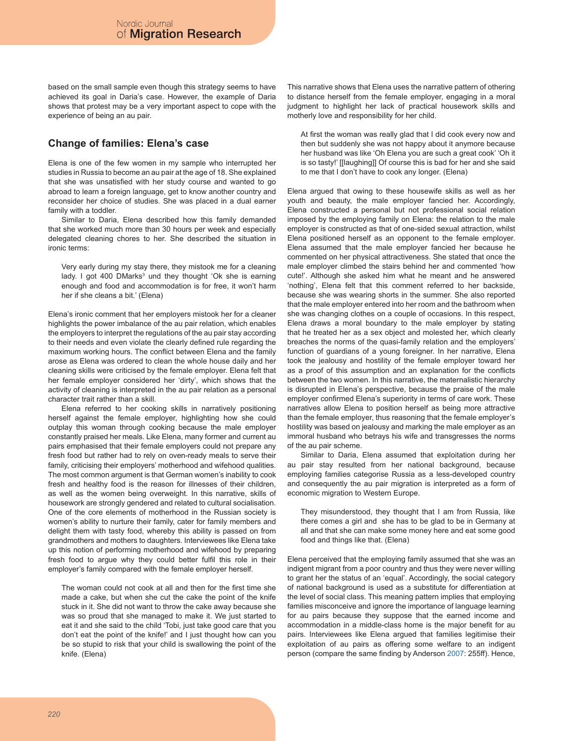based on the small sample even though this strategy seems to have achieved its goal in Daria's case. However, the example of Daria shows that protest may be a very important aspect to cope with the experience of being an au pair.

# **Change of families: Elena's case**

Elena is one of the few women in my sample who interrupted her studies in Russia to become an au pair at the age of 18. She explained that she was unsatisfied with her study course and wanted to go abroad to learn a foreign language, get to know another country and reconsider her choice of studies. She was placed in a dual earner family with a toddler.

Similar to Daria, Elena described how this family demanded that she worked much more than 30 hours per week and especially delegated cleaning chores to her. She described the situation in ironic terms:

Very early during my stay there, they mistook me for a cleaning lady. I got 400 DMarks<sup>3</sup> und they thought 'Ok she is earning enough and food and accommodation is for free, it won't harm her if she cleans a bit.' (Elena)

Elena's ironic comment that her employers mistook her for a cleaner highlights the power imbalance of the au pair relation, which enables the employers to interpret the regulations of the au pair stay according to their needs and even violate the clearly defined rule regarding the maximum working hours. The conflict between Elena and the family arose as Elena was ordered to clean the whole house daily and her cleaning skills were criticised by the female employer. Elena felt that her female employer considered her 'dirty', which shows that the activity of cleaning is interpreted in the au pair relation as a personal character trait rather than a skill.

Elena referred to her cooking skills in narratively positioning herself against the female employer, highlighting how she could outplay this woman through cooking because the male employer constantly praised her meals. Like Elena, many former and current au pairs emphasised that their female employers could not prepare any fresh food but rather had to rely on oven-ready meals to serve their family, criticising their employers' motherhood and wifehood qualities. The most common argument is that German women's inability to cook fresh and healthy food is the reason for illnesses of their children, as well as the women being overweight. In this narrative, skills of housework are strongly gendered and related to cultural socialisation. One of the core elements of motherhood in the Russian society is women's ability to nurture their family, cater for family members and delight them with tasty food, whereby this ability is passed on from grandmothers and mothers to daughters. Interviewees like Elena take up this notion of performing motherhood and wifehood by preparing fresh food to argue why they could better fulfil this role in their employer's family compared with the female employer herself.

The woman could not cook at all and then for the first time she made a cake, but when she cut the cake the point of the knife stuck in it. She did not want to throw the cake away because she was so proud that she managed to make it. We just started to eat it and she said to the child 'Tobi, just take good care that you don't eat the point of the knife!' and I just thought how can you be so stupid to risk that your child is swallowing the point of the knife. (Elena)

This narrative shows that Elena uses the narrative pattern of othering to distance herself from the female employer, engaging in a moral judgment to highlight her lack of practical housework skills and motherly love and responsibility for her child.

At first the woman was really glad that I did cook every now and then but suddenly she was not happy about it anymore because her husband was like 'Oh Elena you are such a great cook' 'Oh it is so tasty!' [[laughing]] Of course this is bad for her and she said to me that I don't have to cook any longer. (Elena)

Elena argued that owing to these housewife skills as well as her youth and beauty, the male employer fancied her. Accordingly, Elena constructed a personal but not professional social relation imposed by the employing family on Elena: the relation to the male employer is constructed as that of one-sided sexual attraction, whilst Elena positioned herself as an opponent to the female employer. Elena assumed that the male employer fancied her because he commented on her physical attractiveness. She stated that once the male employer climbed the stairs behind her and commented 'how cute!'. Although she asked him what he meant and he answered 'nothing', Elena felt that this comment referred to her backside, because she was wearing shorts in the summer. She also reported that the male employer entered into her room and the bathroom when she was changing clothes on a couple of occasions. In this respect, Elena draws a moral boundary to the male employer by stating that he treated her as a sex object and molested her, which clearly breaches the norms of the quasi-family relation and the employers' function of guardians of a young foreigner. In her narrative, Elena took the jealousy and hostility of the female employer toward her as a proof of this assumption and an explanation for the conflicts between the two women. In this narrative, the maternalistic hierarchy is disrupted in Elena's perspective, because the praise of the male employer confirmed Elena's superiority in terms of care work. These narratives allow Elena to position herself as being more attractive than the female employer, thus reasoning that the female employer's hostility was based on jealousy and marking the male employer as an immoral husband who betrays his wife and transgresses the norms of the au pair scheme.

Similar to Daria, Elena assumed that exploitation during her au pair stay resulted from her national background, because employing families categorise Russia as a less-developed country and consequently the au pair migration is interpreted as a form of economic migration to Western Europe.

They misunderstood, they thought that I am from Russia, like there comes a girl and she has to be glad to be in Germany at all and that she can make some money here and eat some good food and things like that. (Elena)

Elena perceived that the employing family assumed that she was an indigent migrant from a poor country and thus they were never willing to grant her the status of an 'equal'. Accordingly, the social category of national background is used as a substitute for differentiation at the level of social class. This meaning pattern implies that employing families misconceive and ignore the importance of language learning for au pairs because they suppose that the earned income and accommodation in a middle-class home is the major benefit for au pairs. Interviewees like Elena argued that families legitimise their exploitation of au pairs as offering some welfare to an indigent person (compare the same finding by Anderson 2007: 255ff). Hence,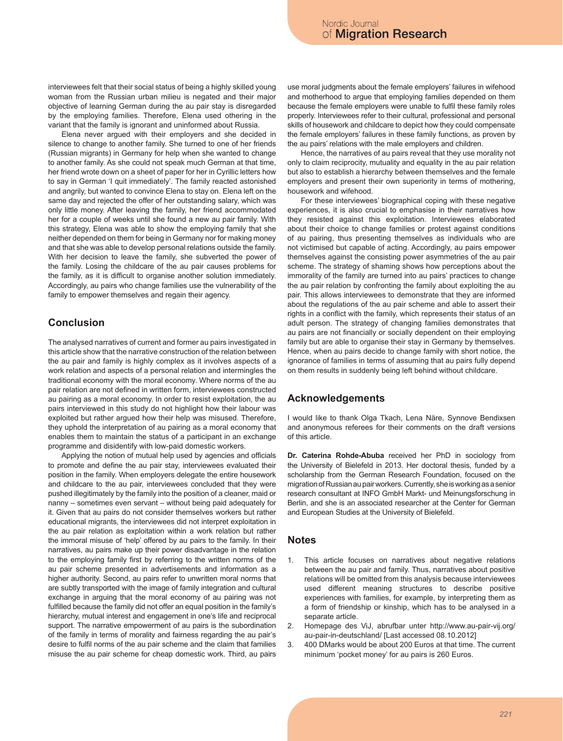interviewees felt that their social status of being a highly skilled young woman from the Russian urban milieu is negated and their major objective of learning German during the au pair stay is disregarded by the employing families. Therefore, Elena used othering in the variant that the family is ignorant and uninformed about Russia.

Elena never argued with their employers and she decided in silence to change to another family. She turned to one of her friends (Russian migrants) in Germany for help when she wanted to change to another family. As she could not speak much German at that time, her friend wrote down on a sheet of paper for her in Cyrillic letters how to say in German 'I quit immediately'. The family reacted astonished and angrily, but wanted to convince Elena to stay on. Elena left on the same day and rejected the offer of her outstanding salary, which was only little money. After leaving the family, her friend accommodated her for a couple of weeks until she found a new au pair family. With this strategy, Elena was able to show the employing family that she neither depended on them for being in Germany nor for making money and that she was able to develop personal relations outside the family. With her decision to leave the family, she subverted the power of the family. Losing the childcare of the au pair causes problems for the family, as it is difficult to organise another solution immediately. Accordingly, au pairs who change families use the vulnerability of the family to empower themselves and regain their agency.

# **Conclusion**

The analysed narratives of current and former au pairs investigated in this article show that the narrative construction of the relation between the au pair and family is highly complex as it involves aspects of a work relation and aspects of a personal relation and intermingles the traditional economy with the moral economy. Where norms of the au pair relation are not defined in written form, interviewees constructed au pairing as a moral economy. In order to resist exploitation, the au pairs interviewed in this study do not highlight how their labour was exploited but rather argued how their help was misused. Therefore, they uphold the interpretation of au pairing as a moral economy that enables them to maintain the status of a participant in an exchange programme and disidentify with low-paid domestic workers.

Applying the notion of mutual help used by agencies and officials to promote and define the au pair stay, interviewees evaluated their position in the family. When employers delegate the entire housework and childcare to the au pair, interviewees concluded that they were pushed illegitimately by the family into the position of a cleaner, maid or nanny – sometimes even servant – without being paid adequately for it. Given that au pairs do not consider themselves workers but rather educational migrants, the interviewees did not interpret exploitation in the au pair relation as exploitation within a work relation but rather the immoral misuse of 'help' offered by au pairs to the family. In their narratives, au pairs make up their power disadvantage in the relation to the employing family first by referring to the written norms of the au pair scheme presented in advertisements and information as a higher authority. Second, au pairs refer to unwritten moral norms that are subtly transported with the image of family integration and cultural exchange in arguing that the moral economy of au pairing was not fulfilled because the family did not offer an equal position in the family's hierarchy, mutual interest and engagement in one's life and reciprocal support. The narrative empowerment of au pairs is the subordination of the family in terms of morality and fairness regarding the au pair's desire to fulfil norms of the au pair scheme and the claim that families misuse the au pair scheme for cheap domestic work. Third, au pairs

use moral judgments about the female employers' failures in wifehood and motherhood to argue that employing families depended on them because the female employers were unable to fulfil these family roles properly. Interviewees refer to their cultural, professional and personal skills of housework and childcare to depict how they could compensate the female employers' failures in these family functions, as proven by the au pairs' relations with the male employers and children.

Hence, the narratives of au pairs reveal that they use morality not only to claim reciprocity, mutuality and equality in the au pair relation but also to establish a hierarchy between themselves and the female employers and present their own superiority in terms of mothering, housework and wifehood.

For these interviewees' biographical coping with these negative experiences, it is also crucial to emphasise in their narratives how they resisted against this exploitation. Interviewees elaborated about their choice to change families or protest against conditions of au pairing, thus presenting themselves as individuals who are not victimised but capable of acting. Accordingly, au pairs empower themselves against the consisting power asymmetries of the au pair scheme. The strategy of shaming shows how perceptions about the immorality of the family are turned into au pairs' practices to change the au pair relation by confronting the family about exploiting the au pair. This allows interviewees to demonstrate that they are informed about the regulations of the au pair scheme and able to assert their rights in a conflict with the family, which represents their status of an adult person. The strategy of changing families demonstrates that au pairs are not financially or socially dependent on their employing family but are able to organise their stay in Germany by themselves. Hence, when au pairs decide to change family with short notice, the ignorance of families in terms of assuming that au pairs fully depend on them results in suddenly being left behind without childcare.

### **Acknowledgements**

I would like to thank Olga Tkach, Lena Näre, Synnove Bendixsen and anonymous referees for their comments on the draft versions of this article.

**Dr. Caterina Rohde-Abuba** received her PhD in sociology from the University of Bielefeld in 2013. Her doctoral thesis, funded by a scholarship from the German Research Foundation, focused on the migration of Russian au pair workers. Currently, she is working as a senior research consultant at INFO GmbH Markt- und Meinungsforschung in Berlin, and she is an associated researcher at the Center for German and European Studies at the University of Bielefeld.

#### **Notes**

- This article focuses on narratives about negative relations between the au pair and family. Thus, narratives about positive relations will be omitted from this analysis because interviewees used different meaning structures to describe positive experiences with families, for example, by interpreting them as a form of friendship or kinship, which has to be analysed in a separate article.
- 2. Homepage des ViJ, abrufbar unter http://www.au-pair-vij.org/ au-pair-in-deutschland/ [Last accessed 08.10.2012]
- 3. 400 DMarks would be about 200 Euros at that time. The current minimum 'pocket money' for au pairs is 260 Euros.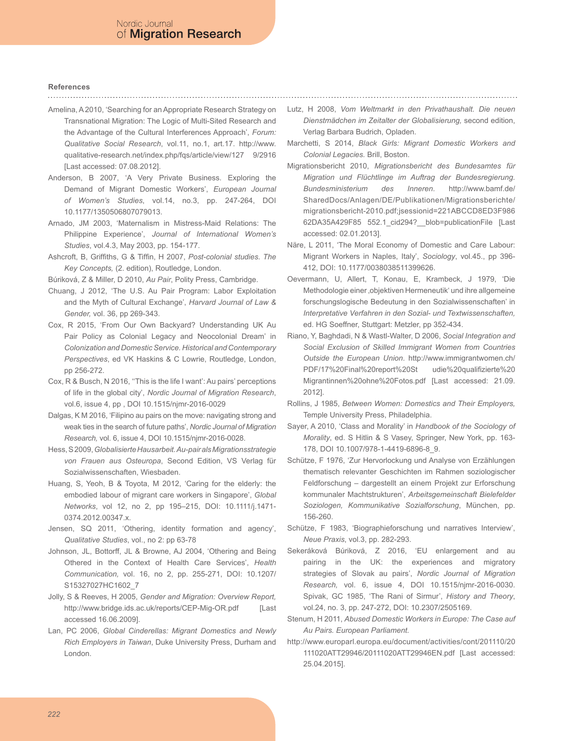# **References**

- Amelina, A 2010, 'Searching for an Appropriate Research Strategy on Transnational Migration: The Logic of Multi-Sited Research and the Advantage of the Cultural Interferences Approach', *Forum: Qualitative Social Research*, vol.11, no.1, art.17. http://www. qualitative-research.net/index.php/fqs/article/view/127 9/2916 [Last accessed: 07.08.2012].
- Anderson, B 2007, 'A Very Private Business. Exploring the Demand of Migrant Domestic Workers', *European Journal of Women's Studies*, vol.14, no.3, pp. 247-264, DOI 10.1177/1350506807079013.
- Arnado, JM 2003, 'Maternalism in Mistress-Maid Relations: The Philippine Experience', *Journal of International Women's Studies*, vol.4.3, May 2003, pp. 154-177.
- Ashcroft, B, Griffiths, G & Tiffin, H 2007, *Post-colonial studies. The Key Concepts,* (2. edition), Routledge, London.
- Búriková, Z & Miller, D 2010, *Au Pair*, Polity Press, Cambridge.
- Chuang, J 2012, 'The U.S. Au Pair Program: Labor Exploitation and the Myth of Cultural Exchange', *Harvard Journal of Law & Gender,* vol. 36, pp 269-343.
- Cox, R 2015, 'From Our Own Backyard? Understanding UK Au Pair Policy as Colonial Legacy and Neocolonial Dream' in *Colonization and Domestic Service. Historical and Contemporary Perspectives*, ed VK Haskins & C Lowrie, Routledge, London, pp 256-272.
- Cox, R & Busch, N 2016, ''This is the life I want': Au pairs' perceptions of life in the global city', *Nordic Journal of Migration Research*, vol.6, issue 4, pp , DOI 10.1515/njmr-2016-0029
- Dalgas, K M 2016, 'Filipino au pairs on the move: navigating strong and weak ties in the search of future paths', *Nordic Journal of Migration Research,* vol. 6, issue 4, DOI 10.1515/njmr-2016-0028.
- Hess, S 2009, *Globalisierte Hausarbeit. Au-pair als Migrationsstrategie von Frauen aus Osteuropa*, Second Edition, VS Verlag für Sozialwissenschaften, Wiesbaden.
- Huang, S, Yeoh, B & Toyota, M 2012, 'Caring for the elderly: the embodied labour of migrant care workers in Singapore', *Global Networks*, vol 12, no 2, pp 195–215, DOI: 10.1111/j.1471- 0374.2012.00347.x.
- Jensen, SQ 2011, 'Othering, identity formation and agency', *Qualitative Studies*, vol., no 2: pp 63-78
- Johnson, JL, Bottorff, JL & Browne, AJ 2004, 'Othering and Being Othered in the Context of Health Care Services', *Health Communication,* vol. 16, no 2, pp. 255-271, DOI: 10.1207/ S15327027HC1602\_7
- Jolly, S & Reeves, H 2005, *Gender and Migration: Overview Report,* http://www.bridge.ids.ac.uk/reports/CEP-Mig-OR.pdf [Last accessed 16.06.2009].
- Lan, PC 2006, *Global Cinderellas: Migrant Domestics and Newly Rich Employers in Taiwan*, Duke University Press, Durham and London.
- Lutz, H 2008, *Vom Weltmarkt in den Privathaushalt. Die neuen Dienstmädchen im Zeitalter der Globalisierung,* second edition, Verlag Barbara Budrich, Opladen.
- Marchetti, S 2014, *Black Girls: Migrant Domestic Workers and Colonial Legacies.* Brill, Boston.
- Migrationsbericht 2010, *Migrationsbericht des Bundesamtes für Migration und Flüchtlinge im Auftrag der Bundesregierung. Bundesministerium des Inneren*. http://www.bamf.de/ SharedDocs/Anlagen/DE/Publikationen/Migrationsberichte/ migrationsbericht-2010.pdf;jsessionid=221ABCCD8ED3F986 62DA35A429F85 552.1\_cid294?\_\_blob=publicationFile [Last accessed: 02.01.2013].
- Näre, L 2011, 'The Moral Economy of Domestic and Care Labour: Migrant Workers in Naples, Italy', *Sociology*, vol.45., pp 396- 412, DOI: 10.1177/0038038511399626.
- Oevermann, U, Allert, T, Konau, E, Krambeck, J 1979, 'Die Methodologie einer 'objektiven Hermeneutik' und ihre allgemeine forschungslogische Bedeutung in den Sozialwissenschaften' in *Interpretative Verfahren in den Sozial- und Textwissenschaften,* ed. HG Soeffner, Stuttgart: Metzler, pp 352-434.
- Riano, Y, Baghdadi, N & Wastl-Walter, D 2006, *Social Integration and Social Exclusion of Skilled Immigrant Women from Countries Outside the European Union*. http://www.immigrantwomen.ch/ PDF/17%20Final%20report%20St udie%20qualifizierte%20 Migrantinnen%20ohne%20Fotos.pdf [Last accessed: 21.09. 2012].
- Rollins, J 1985, *Between Women: Domestics and Their Employers,*  Temple University Press, Philadelphia.
- Sayer, A 2010, 'Class and Morality' in *Handbook of the Sociology of Morality*, ed. S Hitlin & S Vasey, Springer, New York, pp. 163- 178, DOI 10.1007/978-1-4419-6896-8\_9.
- Schütze, F 1976, 'Zur Hervorlockung und Analyse von Erzählungen thematisch relevanter Geschichten im Rahmen soziologischer Feldforschung – dargestellt an einem Projekt zur Erforschung kommunaler Machtstrukturen', *Arbeitsgemeinschaft Bielefelder Soziologen, Kommunikative Sozialforschung*, München, pp. 156-260.
- Schütze, F 1983, 'Biographieforschung und narratives Interview', *Neue Praxis*, vol.3, pp. 282-293.
- Sekeráková Búriková, Z 2016, 'EU enlargement and au pairing in the UK: the experiences and migratory strategies of Slovak au pairs', *Nordic Journal of Migration Research,* vol. 6, issue 4, DOI 10.1515/njmr-2016-0030. Spivak, GC 1985, 'The Rani of Sirmur', *History and Theory*, vol.24, no. 3, pp. 247-272, DOI: 10.2307/2505169.
- Stenum, H 2011, *Abused Domestic Workers in Europe: The Case auf Au Pairs. European Parliament.*
- http://www.europarl.europa.eu/document/activities/cont/201110/20 111020ATT29946/20111020ATT29946EN.pdf [Last accessed: 25.04.2015].